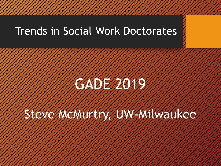### Trends in Social Work Doctorates

# GAND 2019

# Stewe Mawurtry, UW-Milwaukee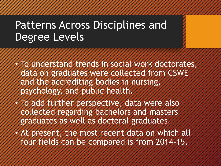### Patterns Across Disciplines and Degree Levels

- To understand trends in social work doctorates, data on graduates were collected from CSWE and the accrediting bodies in nursing, psychology, and public health.
- To add further perspective, data were also collected regarding bachelors and masters graduates as well as doctoral graduates.
- At present, the most recent data on which all four fields can be compared is from 2014-15.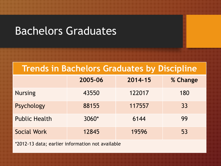### Bachelors Graduates

#### **Trends in Bachelors Graduates by Discipline**

|                      | 2005-06 | 2014-15 | % Change |
|----------------------|---------|---------|----------|
| <b>Nursing</b>       | 43550   | 122017  | 180      |
| Psychology           | 88155   | 117557  | 33       |
| <b>Public Health</b> | $3060*$ | 6144    | 99       |
| <b>Social Work</b>   | 12845   | 19596   | 53       |

\*2012-13 data; earlier information not available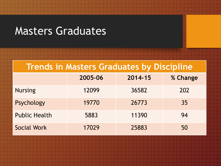### Masters Graduates

#### **Trends in Masters Graduates by Discipline**

|                      | 2005-06 | 2014-15 | % Change |
|----------------------|---------|---------|----------|
| <b>Nursing</b>       | 12099   | 36582   | 202      |
| Psychology           | 19770   | 26773   | 35       |
| <b>Public Health</b> | 5883    | 11390   | 94       |
| Social Work          | 17029   | 25883   | 50       |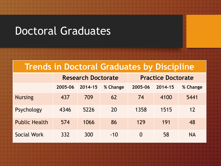### Doctoral Graduates

#### **Trends in Doctoral Graduates by Discipline**

|                      | <b>Research Doctorate</b> |         |          | <b>Practice Doctorate</b> |         |           |
|----------------------|---------------------------|---------|----------|---------------------------|---------|-----------|
|                      | 2005-06                   | 2014-15 | % Change | 2005-06                   | 2014-15 | % Change  |
| <b>Nursing</b>       | 437                       | 709     | 62       | 74                        | 4100    | 5441      |
| Psychology           | 4346                      | 5226    | 20       | 1358                      | 1515    | 12        |
| <b>Public Health</b> | 574                       | 1066    | 86       | 129                       | 191     | 48        |
| Social Work          | 332                       | 300     | $-10$    | $\Omega$                  | 58      | <b>NA</b> |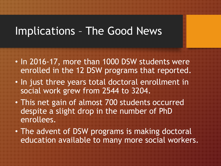### Implications – The Good News

- In 2016-17, more than 1000 DSW students were enrolled in the 12 DSW programs that reported.
- In just three years total doctoral enrollment in social work grew from 2544 to 3204.
- This net gain of almost 700 students occurred despite a slight drop in the number of PhD en toute and
- The advent of DSW programs is making doctoral education available to many more social workers.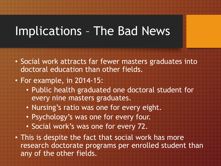## Implications – The Bad News

- Social work attracts far fewer masters graduates into doctoral education than other fields.
- For example, in 2014-15:
	- Public health graduated one doctoral student for every nine masters graduates.
	- Nursing's ratio was one for every eight.
	- Psychology's was one for every four.
	- Social work's was one for every 72.
- **Finish's despite the fact that social work has more** research doctorate programs per enrolled student than any of the other fields.